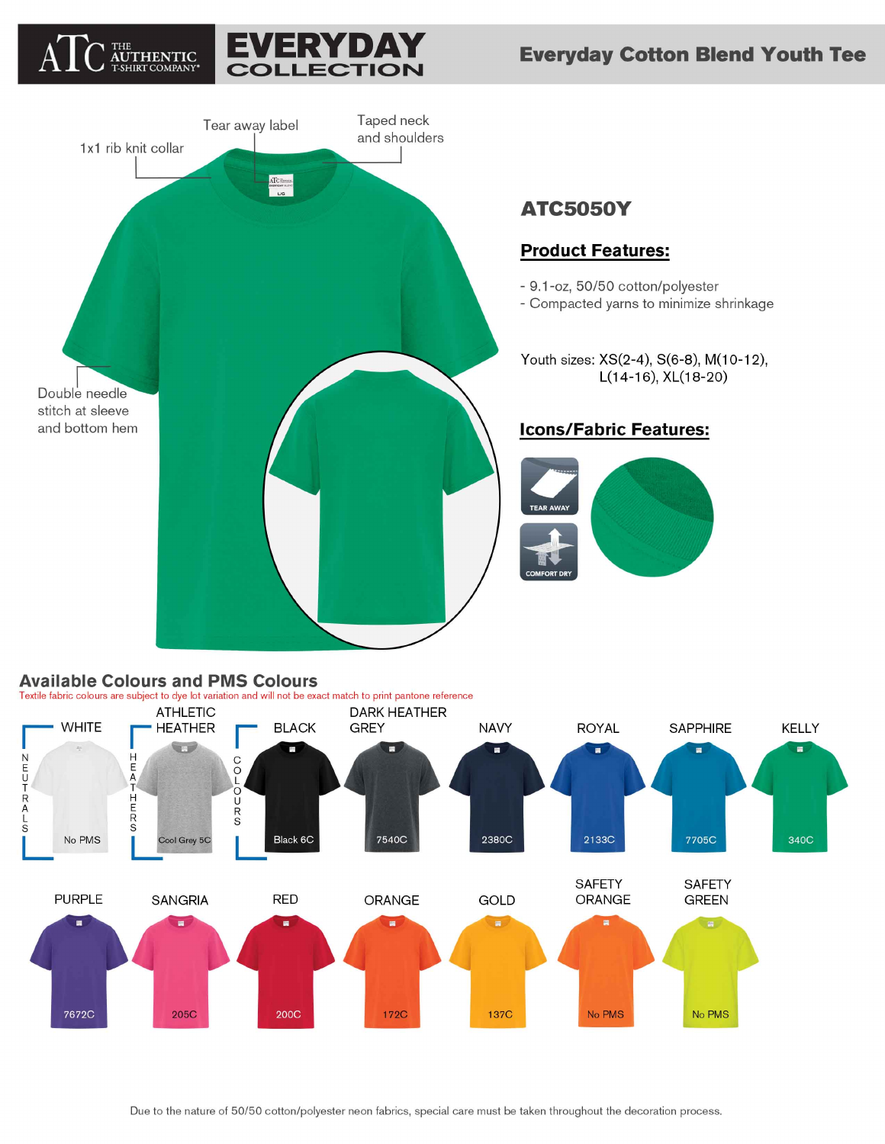





# **Available Colours and PMS Colours**